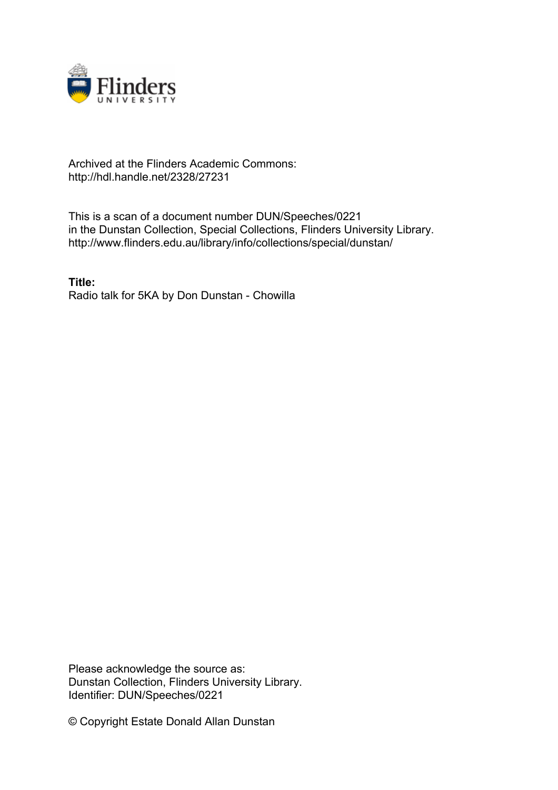

## Archived at the Flinders Academic Commons: http://hdl.handle.net/2328/27231

This is a scan of a document number DUN/Speeches/0221 in the Dunstan Collection, Special Collections, Flinders University Library. http://www.flinders.edu.au/library/info/collections/special/dunstan/

**Title:** Radio talk for 5KA by Don Dunstan - Chowilla

Please acknowledge the source as: Dunstan Collection, Flinders University Library. Identifier: DUN/Speeches/0221

© Copyright Estate Donald Allan Dunstan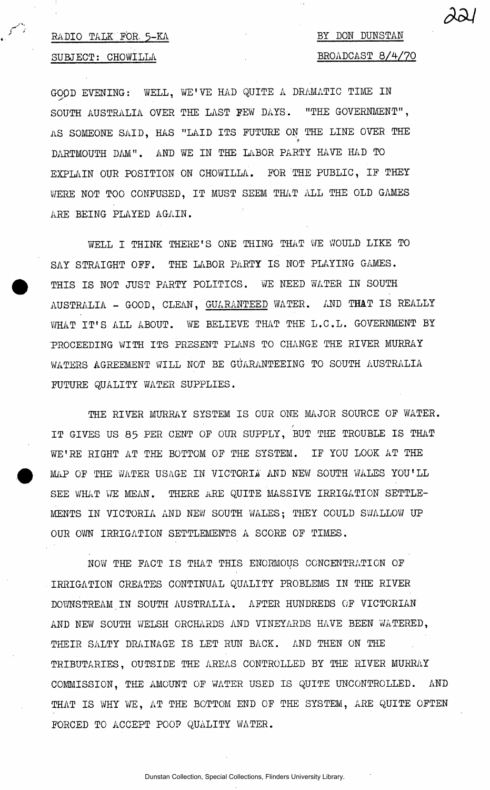## **RADIO TALK FOR.. 5-KA**

## **SUBJECT: CHOWILLA**

## **BY DON DUNSTAN BROADCAST 8/4/70**

 $\alpha$   $\alpha$  *i* 

**GOOD EVENING: WELL, WE'VE HAD QUITE A DRAMATIC TIME IN SOUTH AUSTRALIA OVER THE LAST FEW DAYS. "THE GOVERNMENT", AS SOMEONE SAID, HAS "LAID ITS FUTURE ON THE LINE OVER THE**  *<*  **DARTMOUTH DM" . AND WE IN THE LABOR PARTY HAVE HAD TO EXPLAIN OUR POSITION ON CHOWILLA. FOR THE PUBLIC, IF THEY WERE NOT TOO CONFUSED, IT MUST SEEM THAT ALL THE OLD GAMES ARE BEING PLAYED AGAIN.** 

**WELL I THINK THERE'S ONE THING THAT WE WOULD LIKE TO SAY STRAIGHT OFF. THE LABOR PARTY IS NOT PLAYING GAMES. THIS IS NOT JUST PARTY POLITICS. WE NEED WATER IN SOUTH AUSTRALIA - GOOD, CLEAN, GUARANTEED WATER. AND THAT IS REALLY WHAT IT'S ALL ABOUT. WE BELIEVE THAT THE L.C.L. GOVERNMENT BY PROCEEDING WITH ITS PRESENT PLANS TO CHANGE THE RIVER MURRAY WATERS AGREEMENT WILL NOT BE GUARANTEEING TO SOUTH AUSTRALIA FUTURE QUALITY WATER SUPPLIES.** 

**THE RIVER MURRAY SYSTEM IS OUR ONE MAJOR SOURCE OF WATER. IT GIVES US 85 PER CENT OF OUR SUPPLY, BUT THE TROUBLE IS THAT WE'RE RIGHT AT THE BOTTOM OF THE SYSTEM. IF YOU LOOK AT THE MAP OF THE WATER USAGE IN VICTORIA AND NEW SOUTH WALES YOU'LL SEE WHAT WE MEAN. THERE ARE QUITE MASSIVE IRRIGATION SETTLE-MENTS IN VICTORIA AND NEW SOUTH WALES; THEY COULD SWALLOW UP OUR OWN IRRIGATION SETTLEMENTS A SCORE OF TIMES.** 

**NOW THE FACT IS THAT THIS ENORMOUS CONCENTRATION OF IRRIGATION CREATES CONTINUAL QUALITY PROBLEMS IN THE RIVER DOWNSTREAM IN SOUTH AUSTRALIA. AFTER HUNDREDS OF VICTORIAN AND NEW SOUTH WELSH ORCHARDS AND VINEYARDS HAVE BEEN WATERED, THEIR SALTY DRAINAGE IS LET RUN BACK. AND THEN ON THE TRIBUTARIES, OUTSIDE THE AREAS CONTROLLED BY THE RIVER MURRAY COMMISSION, THE AMOUNT OF WATER USED IS QUITE UNCONTROLLED. AND THAT IS WHY WE, AT THE BOTTOM END OF THE SYSTEM, ARE QUITE OFTEN FORCED TO ACCEPT POOP QUALITY WATER.**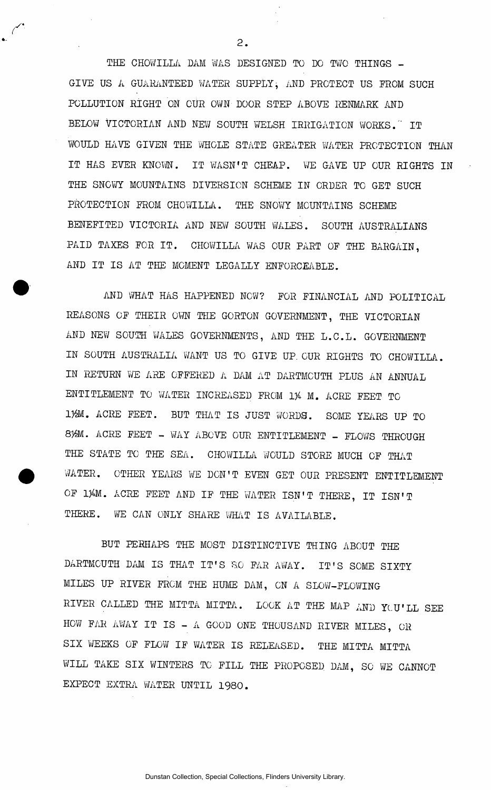**THE CHOWILLA DAM WAS DESIGNED TO DO TWO THINGS - GIVE US A GUARANTEED WATER SUPPLY, AND PROTECT US FROM SUCH POLLUTION RIGHT ON OUR OWN DOOR STEP ABOVE RENMARK AND**  BELOW VICTORIAN AND NEW SOUTH WELSH IRRIGATION WORKS. IT WOULD HAVE GIVEN THE WHOLE STATE GREATER WATER PROTECTION THAN **IT HAS EVER KNOWN. IT WASN'T CHEAP. WE GAVE UP OUR RIGHTS IN THE SNOWY MOUNTAINS DIVERSION SCHEME IN ORDER TO GET SUCH**  PROTECTION FROM CHOWILLA. THE SNOWY MOUNTAINS SCHEME **BENEFITED VICTORIA AND NEW SOUTH WALES. SOUTH AUSTRALIANS**  PAID TAXES FOR IT. CHOWILLA WAS OUR PART OF THE BARGAIN, **AND IT IS AT THE MOMENT LEGALLY ENFORCEABLE.** 

**AND WHAT HAS HAPPENED NOW? FOR FINANCIAL AND POLITICAL REASONS OF THEIR OWN THE GORTON GOVERNMENT, THE VICTORIAN AND NEW SOUTH WALES GOVERNMENTS, AND THE L.C.L. GOVERNMENT IN SOUTH AUSTRALIA WANT US TO GIVE UP. OUR RIGHTS TO CHOWILLA. IN RETURN WE ARE OFFERED A DAM AT DARTMOUTH PLUS AN ANNUAL ENTITLEMENT TO WATER INCREASED FROM** *1%* **M. ACRE FEET TO 1)9!!. ACRE FEET. BUT THAT IS JUST WORDS. SOME YEARS UP TO 8}£M. ACRE FEET - WAY ABOVE OUR ENTITLEMENT - FLOWS THROUGH THE STATE TO THE SEA. CHOWILLA WOULD STORE MUCH OF THAT WATER. OTHER YEARS WE DON'T EVEN GET OUR PRESENT ENTITLEMENT**  OF 1%M. ACRE FEET AND IF THE WATER ISN'T THERE, IT ISN'T **THERE. WE CAN ONLY SHARE WHAT IS AVAILABLE.** 

**BUT PERHAPS THE MOST DISTINCTIVE THING ABOUT THE DARTMOUTH DAM IS THAT IT'S SO FAR AWAY. IT'S SOME SIXTY MILES UP RIVER FROM THE HUME DAM, ON A SLOW-FLOWING RIVER CALLED THE MITTA MITTA. LOOK AT THE MAP AND YLU'LL SEE HOW FAR AWAY IT IS - A GOOD ONE THOUSAND RIVER MILES, OR SIX WEEKS OF FLOW IF WATER IS RELEASED. THE MITTA MITTA WILL TAKE SIX WINTERS TO FILL THE PROPOSED. DAM, SO WE CANNOT EXPECT EXTRA WATER UNTIL 1980.** 

 $2.$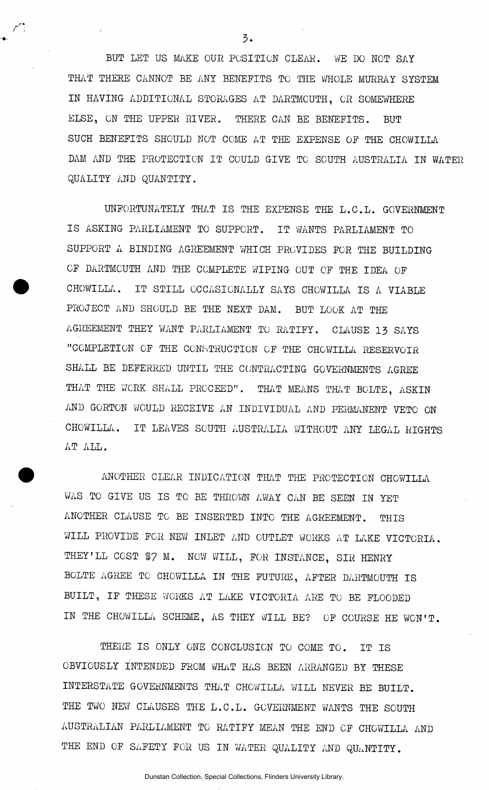**BUT LET US MAKE OUR POSITION CLEAR. WE DO NOT SAY THAT THERE CANNOT BE ANY BENEFITS TO THE WHOLE MURRAY SYSTEM IN HAVING ADDITIONAL STORAGES AT DARTMOUTH, OR SOMEWHERE ELSE, ON THE UPPER RIVER. THERE CAN BE BENEFITS. BUT SUCH BENEFITS SHOULD NOT COME AT THE EXPENSE OF THE CHCWILLA DAM AND THE PROTECTION IT COULD GIVE TO SOUTH AUSTRALIA IN WATER QUALITY AND QUANTITY.** 

**UNFORTUNATELY THAT IS THE EXPENSE THE L.C.L. GOVERNMENT IS ASKING PARLIAMENT TO SUPPORT. IT WANTS PARLIAMENT TO SUPPORT A BINDING AGREEMENT WHICH PROVIDES FOR THE BUILDING OF DARTMOUTH AND THE COMPLETE WIPING CUT OF THE IDEA OF CHOWILLA. IT STILL OCCASIONALLY SAYS CHOWILLA IS A VIABLE**  PROJECT AND SHOULD BE THE NEXT DAM. BUT LOOK AT THE **AGREEMENT THEY WANT PARLIAMENT TO RATIFY. CLAUSE 13 SAYS "COMPLETION OF THE CONSTRUCTION OF THE CHCWILLA RESERVOIR SHALL BE DEFERRED UNTIL THE CONTRACTING GOVERNMENTS AGREE THAT THE WORK SHALL PROCEED". THAT MEANS THAT BOLTE, ASKIN AND GORTON WOULD RECEIVE AN INDIVIDUAL AND PERMANENT VETO ON CHOWILLA. IT LEAVES SOUTH AUSTRALIA WITHOUT ANY LEGAL RIGHTS AT ALL.** 

**ANOTHER CLEAR INDICATION THAT THE PROTECTION CHOWILLA**  WAS TO GIVE US IS TO BE THROWN AWAY CAN BE SEEN IN YET **ANOTHER CLAUSE TO BE INSERTED INTO THE AGREEMENT. THIS WILL PROVIDE FOR NEW INLET AND CUTLET WORKS AT LAKE VICTORIA.**  THEY'LL COST \$7 M. NOW WILL, FOR INSTANCE, SIR HENRY **BOLTE AGREE TO CHOWILLA IN THE FUTURE, AFTER DARTMOUTH IS BUILT, IF THESE WORKS AT LAKE VICTORIA ARE TO BE FLOODED IN THE CHOWILLA SCHEME, AS THEY WILL BE? OF COURSE HE WON'T.** 

**THERE IS ONLY ONE CONCLUSION TO COME TO. IT IS OBVIOUSLY INTENDED FROM WHAT HAS BEEN ARRANGED BY THESE INTERSTATE GOVERNMENTS THAT CHOWILLA WILL NEVER BE BUILT. THE TWO NEW CLAUSES THE L.C.L. GOVERNMENT WANTS THE SOUTH AUSTRALIAN PARLIAMENT TO RATIFY MEAN THE END OF CHOWILLA AND**  THE END OF SAFETY FOR US IN WATER QUALITY AND QUANTITY.

3.